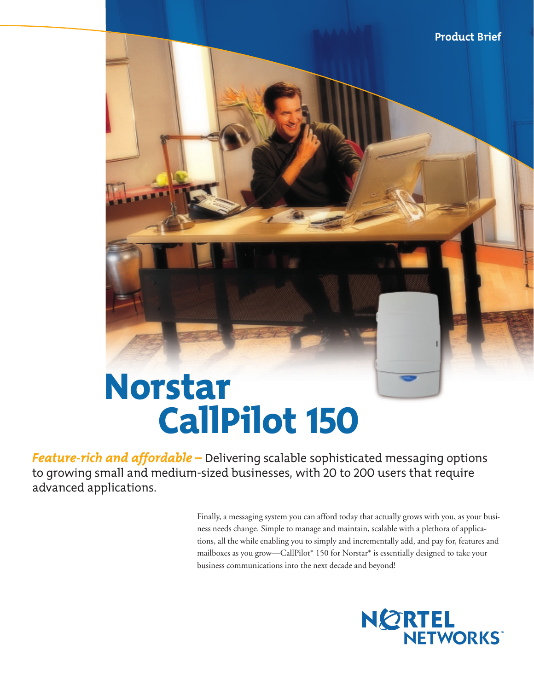# **Product Brief** Norstar CallPilot 150

*Feature-rich and affordable –* Delivering scalable sophisticated messaging options to growing small and medium-sized businesses, with 20 to 200 users that require advanced applications.

> Finally, a messaging system you can afford today that actually grows with you, as your business needs change. Simple to manage and maintain, scalable with a plethora of applications, all the while enabling you to simply and incrementally add, and pay for, features and mailboxes as you grow—CallPilot\* 150 for Norstar\* is essentially designed to take your business communications into the next decade and beyond!

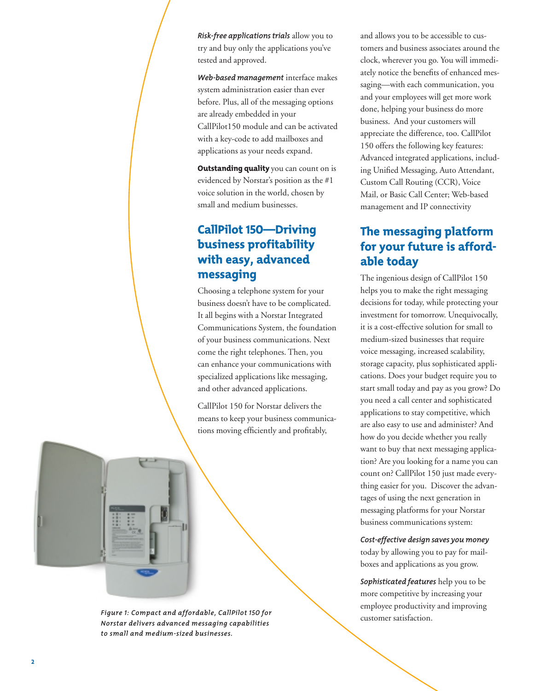*Risk-free applications trials* allow you to try and buy only the applications you've tested and approved.

*Web-based management* interface makes system administration easier than ever before. Plus, all of the messaging options are already embedded in your CallPilot150 module and can be activated with a key-code to add mailboxes and applications as your needs expand.

**Outstanding quality** you can count on is evidenced by Norstar's position as the #1 voice solution in the world, chosen by small and medium businesses.

# CallPilot 150—Driving business profitability with easy, advanced messaging

Choosing a telephone system for your business doesn't have to be complicated. It all begins with a Norstar Integrated Communications System, the foundation of your business communications. Next come the right telephones. Then, you can enhance your communications with specialized applications like messaging, and other advanced applications.

CallPilot 150 for Norstar delivers the means to keep your business communications moving efficiently and profitably,



Figure 1: Compact and affordable, CallPilot 150 for<br>customer satisfaction. *Norstar delivers advanced messaging capabilities to small and medium-sized businesses.*

and allows you to be accessible to customers and business associates around the clock, wherever you go. You will immediately notice the benefits of enhanced messaging—with each communication, you and your employees will get more work done, helping your business do more business. And your customers will appreciate the difference, too. CallPilot 150 offers the following key features: Advanced integrated applications, including Unified Messaging, Auto Attendant, Custom Call Routing (CCR), Voice Mail, or Basic Call Center; Web-based management and IP connectivity

# The messaging platform for your future is affordable today

The ingenious design of CallPilot 150 helps you to make the right messaging decisions for today, while protecting your investment for tomorrow. Unequivocally, it is a cost-effective solution for small to medium-sized businesses that require voice messaging, increased scalability, storage capacity, plus sophisticated applications. Does your budget require you to start small today and pay as you grow? Do you need a call center and sophisticated applications to stay competitive, which are also easy to use and administer? And how do you decide whether you really want to buy that next messaging application? Are you looking for a name you can count on? CallPilot 150 just made everything easier for you. Discover the advantages of using the next generation in messaging platforms for your Norstar business communications system:

#### *Cost-effective design saves you money* today by allowing you to pay for mailboxes and applications as you grow.

*Sophisticated features* help you to be more competitive by increasing your employee productivity and improving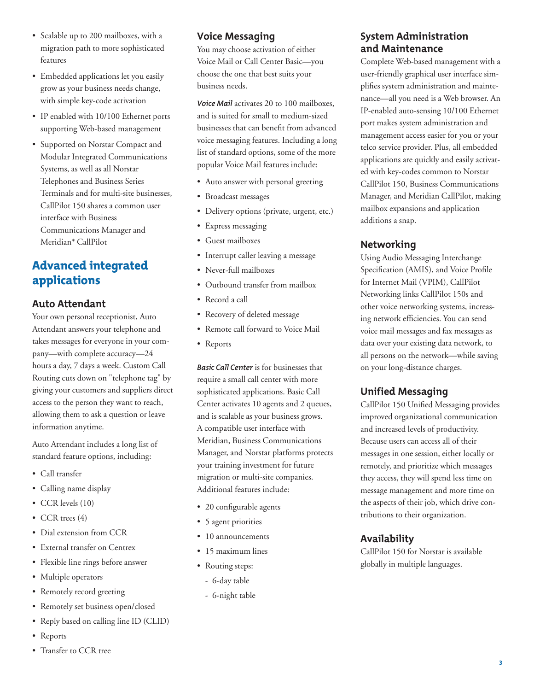- Scalable up to 200 mailboxes, with a migration path to more sophisticated features
- Embedded applications let you easily grow as your business needs change, with simple key-code activation
- IP enabled with 10/100 Ethernet ports supporting Web-based management
- Supported on Norstar Compact and Modular Integrated Communications Systems, as well as all Norstar Telephones and Business Series Terminals and for multi-site businesses, CallPilot 150 shares a common user interface with Business Communications Manager and Meridian\* CallPilot

# Advanced integrated applications

#### **Auto Attendant**

Your own personal receptionist, Auto Attendant answers your telephone and takes messages for everyone in your company—with complete accuracy—24 hours a day, 7 days a week. Custom Call Routing cuts down on "telephone tag" by giving your customers and suppliers direct access to the person they want to reach, allowing them to ask a question or leave information anytime.

Auto Attendant includes a long list of standard feature options, including:

- Call transfer
- Calling name display
- CCR levels (10)
- CCR trees (4)
- Dial extension from CCR
- External transfer on Centrex
- Flexible line rings before answer
- Multiple operators
- Remotely record greeting
- Remotely set business open/closed
- Reply based on calling line ID (CLID)
- Reports
- Transfer to CCR tree

#### **Voice Messaging**

You may choose activation of either Voice Mail or Call Center Basic—you choose the one that best suits your business needs.

*Voice Mail* activates 20 to 100 mailboxes, and is suited for small to medium-sized businesses that can benefit from advanced voice messaging features. Including a long list of standard options, some of the more popular Voice Mail features include:

- Auto answer with personal greeting
- Broadcast messages
- Delivery options (private, urgent, etc.)
- Express messaging
- Guest mailboxes
- Interrupt caller leaving a message
- Never-full mailboxes
- Outbound transfer from mailbox
- Record a call
- Recovery of deleted message
- Remote call forward to Voice Mail
- Reports

*Basic Call Center* is for businesses that require a small call center with more sophisticated applications. Basic Call Center activates 10 agents and 2 queues, and is scalable as your business grows. A compatible user interface with Meridian, Business Communications Manager, and Norstar platforms protects your training investment for future migration or multi-site companies. Additional features include:

- 20 configurable agents
- 5 agent priorities
- 10 announcements
- 15 maximum lines
- Routing steps:
	- 6-day table
	- 6-night table

#### **System Administration and Maintenance**

Complete Web-based management with a user-friendly graphical user interface simplifies system administration and maintenance—all you need is a Web browser. An IP-enabled auto-sensing 10/100 Ethernet port makes system administration and management access easier for you or your telco service provider. Plus, all embedded applications are quickly and easily activated with key-codes common to Norstar CallPilot 150, Business Communications Manager, and Meridian CallPilot, making mailbox expansions and application additions a snap.

#### **Networking**

Using Audio Messaging Interchange Specification (AMIS), and Voice Profile for Internet Mail (VPIM), CallPilot Networking links CallPilot 150s and other voice networking systems, increasing network efficiencies. You can send voice mail messages and fax messages as data over your existing data network, to all persons on the network—while saving on your long-distance charges.

#### **Unified Messaging**

CallPilot 150 Unified Messaging provides improved organizational communication and increased levels of productivity. Because users can access all of their messages in one session, either locally or remotely, and prioritize which messages they access, they will spend less time on message management and more time on the aspects of their job, which drive contributions to their organization.

#### **Availability**

CallPilot 150 for Norstar is available globally in multiple languages.